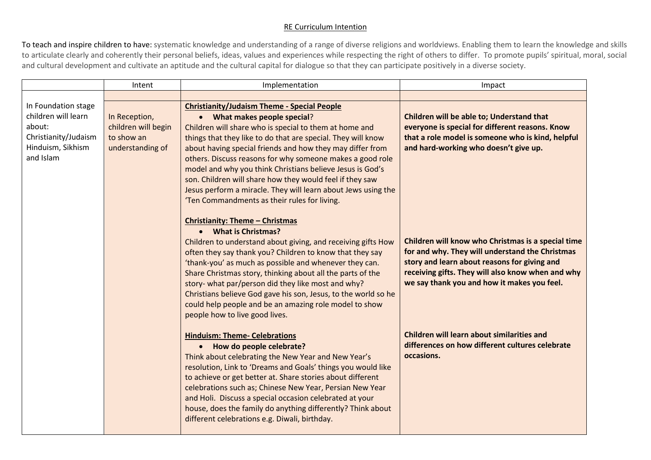## RE Curriculum Intention

To teach and inspire children to have: systematic knowledge and understanding of a range of diverse religions and worldviews. Enabling them to learn the knowledge and skills to articulate clearly and coherently their personal beliefs, ideas, values and experiences while respecting the right of others to differ. To promote pupils' spiritual, moral, social and cultural development and cultivate an aptitude and the cultural capital for dialogue so that they can participate positively in a diverse society.

|                                                                                                                | Intent                                                                 | Implementation                                                                                                                                                                                                                                                                                                                                                                                                                                                                                                                                                                   | Impact                                                                                                                                                                                                                                                    |
|----------------------------------------------------------------------------------------------------------------|------------------------------------------------------------------------|----------------------------------------------------------------------------------------------------------------------------------------------------------------------------------------------------------------------------------------------------------------------------------------------------------------------------------------------------------------------------------------------------------------------------------------------------------------------------------------------------------------------------------------------------------------------------------|-----------------------------------------------------------------------------------------------------------------------------------------------------------------------------------------------------------------------------------------------------------|
|                                                                                                                |                                                                        |                                                                                                                                                                                                                                                                                                                                                                                                                                                                                                                                                                                  |                                                                                                                                                                                                                                                           |
| In Foundation stage<br>children will learn<br>about:<br>Christianity/Judaism<br>Hinduism, Sikhism<br>and Islam | In Reception,<br>children will begin<br>to show an<br>understanding of | <b>Christianity/Judaism Theme - Special People</b><br>• What makes people special?<br>Children will share who is special to them at home and<br>things that they like to do that are special. They will know<br>about having special friends and how they may differ from<br>others. Discuss reasons for why someone makes a good role<br>model and why you think Christians believe Jesus is God's<br>son. Children will share how they would feel if they saw<br>Jesus perform a miracle. They will learn about Jews using the<br>'Ten Commandments as their rules for living. | Children will be able to; Understand that<br>everyone is special for different reasons. Know<br>that a role model is someone who is kind, helpful<br>and hard-working who doesn't give up.                                                                |
|                                                                                                                |                                                                        | <b>Christianity: Theme - Christmas</b><br>• What is Christmas?<br>Children to understand about giving, and receiving gifts How<br>often they say thank you? Children to know that they say<br>'thank-you' as much as possible and whenever they can.<br>Share Christmas story, thinking about all the parts of the<br>story- what par/person did they like most and why?<br>Christians believe God gave his son, Jesus, to the world so he<br>could help people and be an amazing role model to show<br>people how to live good lives.                                           | Children will know who Christmas is a special time<br>for and why. They will understand the Christmas<br>story and learn about reasons for giving and<br>receiving gifts. They will also know when and why<br>we say thank you and how it makes you feel. |
|                                                                                                                |                                                                        | <b>Hinduism: Theme- Celebrations</b><br>• How do people celebrate?<br>Think about celebrating the New Year and New Year's<br>resolution, Link to 'Dreams and Goals' things you would like<br>to achieve or get better at. Share stories about different<br>celebrations such as; Chinese New Year, Persian New Year<br>and Holi. Discuss a special occasion celebrated at your<br>house, does the family do anything differently? Think about<br>different celebrations e.g. Diwali, birthday.                                                                                   | Children will learn about similarities and<br>differences on how different cultures celebrate<br>occasions.                                                                                                                                               |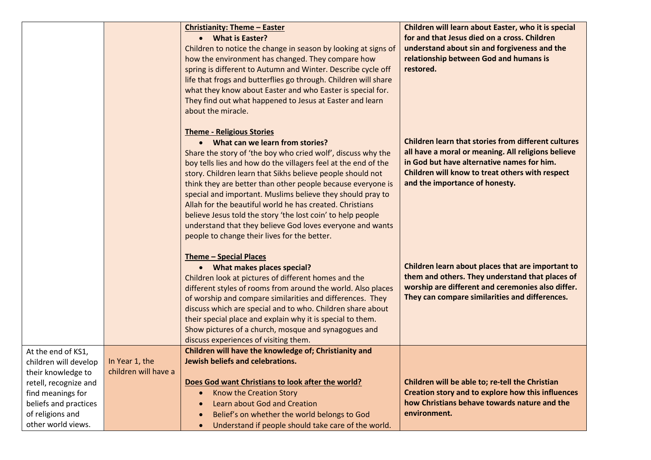|                                                                                                                                                                                    |                                        | <b>Christianity: Theme - Easter</b><br><b>What is Easter?</b><br>$\bullet$<br>Children to notice the change in season by looking at signs of<br>how the environment has changed. They compare how<br>spring is different to Autumn and Winter. Describe cycle off<br>life that frogs and butterflies go through. Children will share<br>what they know about Easter and who Easter is special for.<br>They find out what happened to Jesus at Easter and learn<br>about the miracle.                                                                                                                                                                  | Children will learn about Easter, who it is special<br>for and that Jesus died on a cross. Children<br>understand about sin and forgiveness and the<br>relationship between God and humans is<br>restored.                                          |
|------------------------------------------------------------------------------------------------------------------------------------------------------------------------------------|----------------------------------------|-------------------------------------------------------------------------------------------------------------------------------------------------------------------------------------------------------------------------------------------------------------------------------------------------------------------------------------------------------------------------------------------------------------------------------------------------------------------------------------------------------------------------------------------------------------------------------------------------------------------------------------------------------|-----------------------------------------------------------------------------------------------------------------------------------------------------------------------------------------------------------------------------------------------------|
|                                                                                                                                                                                    |                                        | <b>Theme - Religious Stories</b><br>What can we learn from stories?<br>$\bullet$<br>Share the story of 'the boy who cried wolf', discuss why the<br>boy tells lies and how do the villagers feel at the end of the<br>story. Children learn that Sikhs believe people should not<br>think they are better than other people because everyone is<br>special and important. Muslims believe they should pray to<br>Allah for the beautiful world he has created. Christians<br>believe Jesus told the story 'the lost coin' to help people<br>understand that they believe God loves everyone and wants<br>people to change their lives for the better. | <b>Children learn that stories from different cultures</b><br>all have a moral or meaning. All religions believe<br>in God but have alternative names for him.<br>Children will know to treat others with respect<br>and the importance of honesty. |
|                                                                                                                                                                                    |                                        | <b>Theme - Special Places</b><br>• What makes places special?<br>Children look at pictures of different homes and the<br>different styles of rooms from around the world. Also places<br>of worship and compare similarities and differences. They<br>discuss which are special and to who. Children share about<br>their special place and explain why it is special to them.<br>Show pictures of a church, mosque and synagogues and<br>discuss experiences of visiting them.                                                                                                                                                                       | Children learn about places that are important to<br>them and others. They understand that places of<br>worship are different and ceremonies also differ.<br>They can compare similarities and differences.                                         |
| At the end of KS1,<br>children will develop<br>their knowledge to<br>retell, recognize and<br>find meanings for<br>beliefs and practices<br>of religions and<br>other world views. | In Year 1, the<br>children will have a | Children will have the knowledge of; Christianity and<br>Jewish beliefs and celebrations.<br>Does God want Christians to look after the world?<br>Know the Creation Story<br>$\bullet$<br>Learn about God and Creation<br>$\bullet$<br>Belief's on whether the world belongs to God<br>$\bullet$<br>Understand if people should take care of the world.<br>$\bullet$                                                                                                                                                                                                                                                                                  | Children will be able to; re-tell the Christian<br>Creation story and to explore how this influences<br>how Christians behave towards nature and the<br>environment.                                                                                |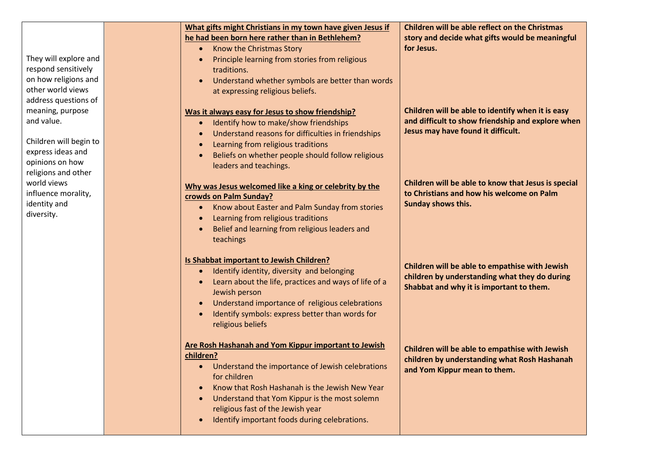|                                                                                                                          | What gifts might Christians in my town have given Jesus if<br>he had been born here rather than in Bethlehem?<br>Know the Christmas Story<br>$\bullet$                                                                                                                                                                           | <b>Children will be able reflect on the Christmas</b><br>story and decide what gifts would be meaningful<br>for Jesus.                       |
|--------------------------------------------------------------------------------------------------------------------------|----------------------------------------------------------------------------------------------------------------------------------------------------------------------------------------------------------------------------------------------------------------------------------------------------------------------------------|----------------------------------------------------------------------------------------------------------------------------------------------|
| They will explore and<br>respond sensitively                                                                             | Principle learning from stories from religious<br>traditions.                                                                                                                                                                                                                                                                    |                                                                                                                                              |
| on how religions and                                                                                                     | Understand whether symbols are better than words                                                                                                                                                                                                                                                                                 |                                                                                                                                              |
| other world views                                                                                                        | at expressing religious beliefs.                                                                                                                                                                                                                                                                                                 |                                                                                                                                              |
| address questions of<br>meaning, purpose<br>and value.<br>Children will begin to<br>express ideas and<br>opinions on how | Was it always easy for Jesus to show friendship?<br>Identify how to make/show friendships<br>Understand reasons for difficulties in friendships<br>Learning from religious traditions<br>Beliefs on whether people should follow religious<br>leaders and teachings.                                                             | Children will be able to identify when it is easy<br>and difficult to show friendship and explore when<br>Jesus may have found it difficult. |
| religions and other<br>world views<br>influence morality,<br>identity and<br>diversity.                                  | Why was Jesus welcomed like a king or celebrity by the<br>crowds on Palm Sunday?<br>Know about Easter and Palm Sunday from stories<br>Learning from religious traditions<br>Belief and learning from religious leaders and<br>teachings                                                                                          | Children will be able to know that Jesus is special<br>to Christians and how his welcome on Palm<br>Sunday shows this.                       |
|                                                                                                                          | Is Shabbat important to Jewish Children?<br>Identify identity, diversity and belonging<br>Learn about the life, practices and ways of life of a<br>Jewish person<br>Understand importance of religious celebrations<br>Identify symbols: express better than words for<br>religious beliefs                                      | Children will be able to empathise with Jewish<br>children by understanding what they do during<br>Shabbat and why it is important to them.  |
|                                                                                                                          | Are Rosh Hashanah and Yom Kippur important to Jewish<br>children?<br>• Understand the importance of Jewish celebrations<br>for children<br>Know that Rosh Hashanah is the Jewish New Year<br>Understand that Yom Kippur is the most solemn<br>religious fast of the Jewish year<br>Identify important foods during celebrations. | Children will be able to empathise with Jewish<br>children by understanding what Rosh Hashanah<br>and Yom Kippur mean to them.               |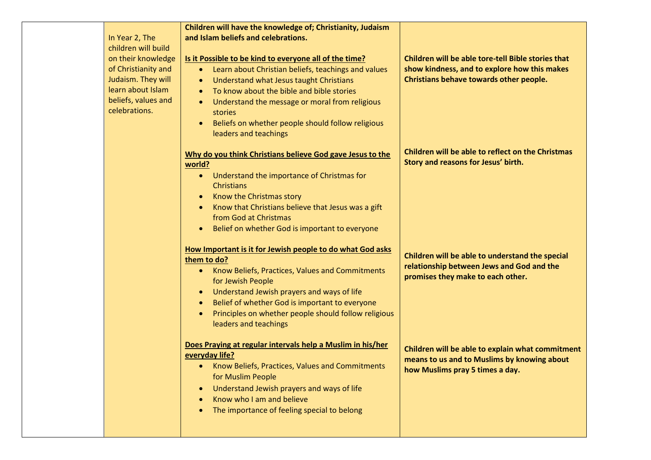|                     | Children will have the knowledge of; Christianity, Judaism        |                                                    |
|---------------------|-------------------------------------------------------------------|----------------------------------------------------|
| In Year 2, The      | and Islam beliefs and celebrations.                               |                                                    |
| children will build |                                                                   |                                                    |
| on their knowledge  | Is it Possible to be kind to everyone all of the time?            | Children will be able tore-tell Bible stories that |
| of Christianity and | Learn about Christian beliefs, teachings and values<br>$\bullet$  | show kindness, and to explore how this makes       |
| Judaism. They will  | Understand what Jesus taught Christians<br>$\bullet$              | Christians behave towards other people.            |
| learn about Islam   | To know about the bible and bible stories<br>$\bullet$            |                                                    |
| beliefs, values and | Understand the message or moral from religious<br>$\bullet$       |                                                    |
| celebrations.       | stories                                                           |                                                    |
|                     | Beliefs on whether people should follow religious<br>$\bullet$    |                                                    |
|                     |                                                                   |                                                    |
|                     | leaders and teachings                                             |                                                    |
|                     | Why do you think Christians believe God gave Jesus to the         | Children will be able to reflect on the Christmas  |
|                     | world?                                                            | Story and reasons for Jesus' birth.                |
|                     | Understand the importance of Christmas for<br>$\bullet$           |                                                    |
|                     | Christians                                                        |                                                    |
|                     | Know the Christmas story<br>$\bullet$                             |                                                    |
|                     | Know that Christians believe that Jesus was a gift<br>$\bullet$   |                                                    |
|                     | from God at Christmas                                             |                                                    |
|                     | Belief on whether God is important to everyone<br>$\bullet$       |                                                    |
|                     |                                                                   |                                                    |
|                     | How Important is it for Jewish people to do what God asks         |                                                    |
|                     | them to do?                                                       | Children will be able to understand the special    |
|                     | Know Beliefs, Practices, Values and Commitments<br>$\bullet$      | relationship between Jews and God and the          |
|                     | for Jewish People                                                 | promises they make to each other.                  |
|                     | Understand Jewish prayers and ways of life<br>$\bullet$           |                                                    |
|                     | Belief of whether God is important to everyone<br>$\bullet$       |                                                    |
|                     | Principles on whether people should follow religious<br>$\bullet$ |                                                    |
|                     | leaders and teachings                                             |                                                    |
|                     |                                                                   |                                                    |
|                     | Does Praying at regular intervals help a Muslim in his/her        | Children will be able to explain what commitment   |
|                     | everyday life?                                                    | means to us and to Muslims by knowing about        |
|                     | • Know Beliefs, Practices, Values and Commitments                 | how Muslims pray 5 times a day.                    |
|                     | for Muslim People                                                 |                                                    |
|                     | Understand Jewish prayers and ways of life<br>$\bullet$           |                                                    |
|                     | Know who I am and believe                                         |                                                    |
|                     | The importance of feeling special to belong                       |                                                    |
|                     |                                                                   |                                                    |
|                     |                                                                   |                                                    |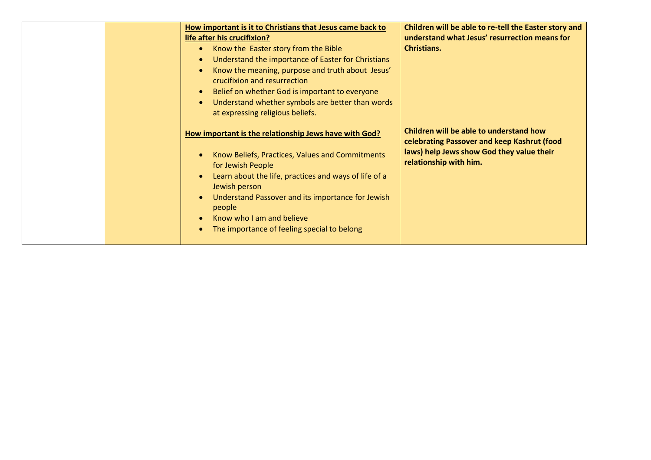|  | How important is it to Christians that Jesus came back to<br>life after his crucifixion?<br>Know the Easter story from the Bible<br>$\bullet$<br>Understand the importance of Easter for Christians<br>$\bullet$<br>Know the meaning, purpose and truth about Jesus'<br>$\bullet$<br>crucifixion and resurrection<br>Belief on whether God is important to everyone<br>$\bullet$<br>Understand whether symbols are better than words<br>$\bullet$<br>at expressing religious beliefs. | Children will be able to re-tell the Easter story and<br>understand what Jesus' resurrection means for<br><b>Christians.</b>                                  |
|--|---------------------------------------------------------------------------------------------------------------------------------------------------------------------------------------------------------------------------------------------------------------------------------------------------------------------------------------------------------------------------------------------------------------------------------------------------------------------------------------|---------------------------------------------------------------------------------------------------------------------------------------------------------------|
|  | How important is the relationship Jews have with God?<br>Know Beliefs, Practices, Values and Commitments<br>$\bullet$<br>for Jewish People<br>Learn about the life, practices and ways of life of a<br>$\bullet$<br>Jewish person<br>Understand Passover and its importance for Jewish<br>$\bullet$<br>people<br>Know who I am and believe<br>$\bullet$<br>The importance of feeling special to belong<br>$\bullet$                                                                   | Children will be able to understand how<br>celebrating Passover and keep Kashrut (food<br>laws) help Jews show God they value their<br>relationship with him. |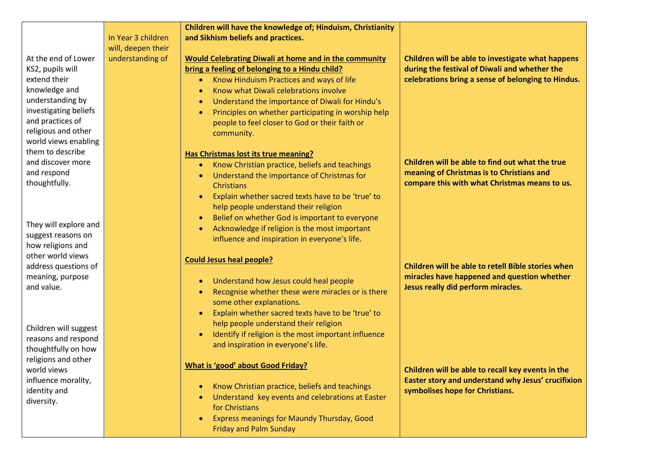|                                     |                    | Children will have the knowledge of; Hinduism, Christianity      |                                                                                       |
|-------------------------------------|--------------------|------------------------------------------------------------------|---------------------------------------------------------------------------------------|
|                                     | In Year 3 children | and Sikhism beliefs and practices.                               |                                                                                       |
|                                     | will, deepen their |                                                                  |                                                                                       |
| At the end of Lower                 | understanding of   | <b>Would Celebrating Diwali at home and in the community</b>     | Children will be able to investigate what happens                                     |
| KS2, pupils will                    |                    | bring a feeling of belonging to a Hindu child?                   | during the festival of Diwali and whether the                                         |
| extend their                        |                    | Know Hinduism Practices and ways of life<br>$\bullet$            | celebrations bring a sense of belonging to Hindus.                                    |
| knowledge and                       |                    | Know what Diwali celebrations involve<br>$\bullet$               |                                                                                       |
| understanding by                    |                    | Understand the importance of Diwali for Hindu's<br>$\bullet$     |                                                                                       |
| investigating beliefs               |                    | Principles on whether participating in worship help<br>$\bullet$ |                                                                                       |
| and practices of                    |                    | people to feel closer to God or their faith or                   |                                                                                       |
| religious and other                 |                    | community.                                                       |                                                                                       |
| world views enabling                |                    |                                                                  |                                                                                       |
| them to describe                    |                    | <b>Has Christmas lost its true meaning?</b>                      |                                                                                       |
| and discover more                   |                    | Know Christian practice, beliefs and teachings<br>$\bullet$      | Children will be able to find out what the true                                       |
| and respond                         |                    | Understand the importance of Christmas for<br>$\bullet$          | meaning of Christmas is to Christians and                                             |
| thoughtfully.                       |                    | Christians                                                       | compare this with what Christmas means to us.                                         |
|                                     |                    | Explain whether sacred texts have to be 'true' to<br>$\bullet$   |                                                                                       |
|                                     |                    | help people understand their religion                            |                                                                                       |
|                                     |                    | Belief on whether God is important to everyone<br>$\bullet$      |                                                                                       |
| They will explore and               |                    | Acknowledge if religion is the most important<br>$\bullet$       |                                                                                       |
| suggest reasons on                  |                    | influence and inspiration in everyone's life.                    |                                                                                       |
| how religions and                   |                    |                                                                  |                                                                                       |
| other world views                   |                    | <b>Could Jesus heal people?</b>                                  |                                                                                       |
| address questions of                |                    |                                                                  | Children will be able to retell Bible stories when                                    |
| meaning, purpose                    |                    | Understand how Jesus could heal people<br>$\bullet$              | miracles have happened and question whether                                           |
| and value.                          |                    | Recognise whether these were miracles or is there<br>$\bullet$   | Jesus really did perform miracles.                                                    |
|                                     |                    | some other explanations.                                         |                                                                                       |
|                                     |                    | Explain whether sacred texts have to be 'true' to<br>$\bullet$   |                                                                                       |
|                                     |                    | help people understand their religion                            |                                                                                       |
| Children will suggest               |                    | Identify if religion is the most important influence             |                                                                                       |
| reasons and respond                 |                    | and inspiration in everyone's life.                              |                                                                                       |
| thoughtfully on how                 |                    |                                                                  |                                                                                       |
| religions and other                 |                    | <b>What is 'good' about Good Friday?</b>                         |                                                                                       |
| world views                         |                    |                                                                  | Children will be able to recall key events in the                                     |
| influence morality,<br>identity and |                    | Know Christian practice, beliefs and teachings<br>$\bullet$      | Easter story and understand why Jesus' crucifixion<br>symbolises hope for Christians. |
| diversity.                          |                    | Understand key events and celebrations at Easter<br>$\bullet$    |                                                                                       |
|                                     |                    | for Christians                                                   |                                                                                       |
|                                     |                    | Express meanings for Maundy Thursday, Good<br>$\bullet$          |                                                                                       |
|                                     |                    | <b>Friday and Palm Sunday</b>                                    |                                                                                       |
|                                     |                    |                                                                  |                                                                                       |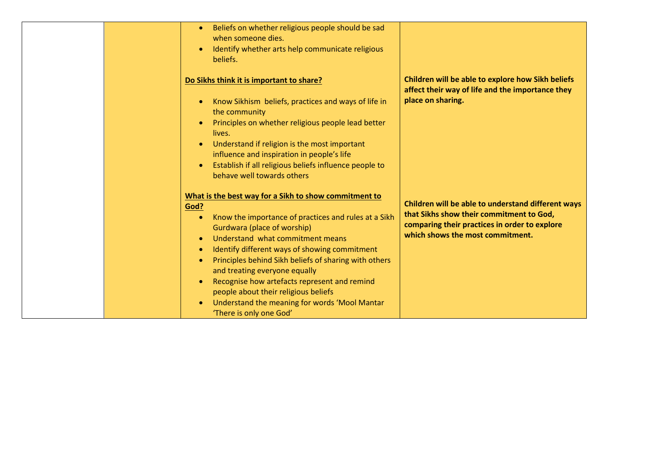|  | Beliefs on whether religious people should be sad<br>$\bullet$<br>when someone dies.<br>Identify whether arts help communicate religious<br>$\bullet$<br>beliefs.                                                                                                                                                                                                                                                                                                                                                                                                        |                                                                                                                                                                                     |
|--|--------------------------------------------------------------------------------------------------------------------------------------------------------------------------------------------------------------------------------------------------------------------------------------------------------------------------------------------------------------------------------------------------------------------------------------------------------------------------------------------------------------------------------------------------------------------------|-------------------------------------------------------------------------------------------------------------------------------------------------------------------------------------|
|  | Do Sikhs think it is important to share?<br>Know Sikhism beliefs, practices and ways of life in<br>$\bullet$<br>the community<br>Principles on whether religious people lead better<br>lives.<br>Understand if religion is the most important<br>$\bullet$<br>influence and inspiration in people's life<br>Establish if all religious beliefs influence people to<br>$\bullet$<br>behave well towards others                                                                                                                                                            | Children will be able to explore how Sikh beliefs<br>affect their way of life and the importance they<br>place on sharing.                                                          |
|  | What is the best way for a Sikh to show commitment to<br>God?<br>Know the importance of practices and rules at a Sikh<br>$\bullet$<br>Gurdwara (place of worship)<br>Understand what commitment means<br>$\bullet$<br>Identify different ways of showing commitment<br>$\bullet$<br>Principles behind Sikh beliefs of sharing with others<br>$\bullet$<br>and treating everyone equally<br>Recognise how artefacts represent and remind<br>$\bullet$<br>people about their religious beliefs<br>Understand the meaning for words 'Mool Mantar<br>'There is only one God' | Children will be able to understand different ways<br>that Sikhs show their commitment to God,<br>comparing their practices in order to explore<br>which shows the most commitment. |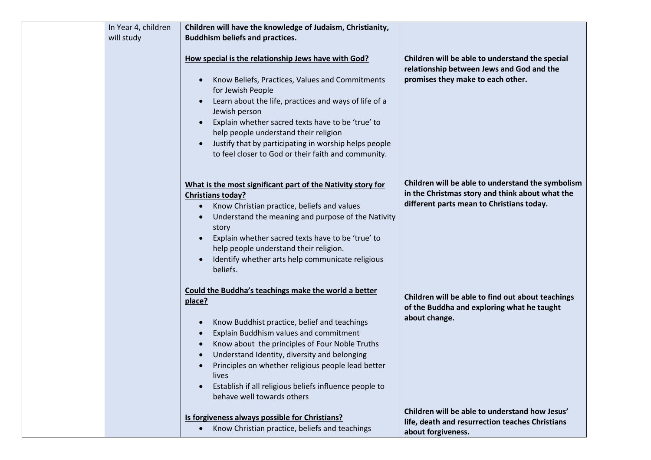| In Year 4, children | Children will have the knowledge of Judaism, Christianity,                                                                                                                                                                                                                                                                                                                                                                                                 |                                                                                                                                                   |
|---------------------|------------------------------------------------------------------------------------------------------------------------------------------------------------------------------------------------------------------------------------------------------------------------------------------------------------------------------------------------------------------------------------------------------------------------------------------------------------|---------------------------------------------------------------------------------------------------------------------------------------------------|
| will study          | <b>Buddhism beliefs and practices.</b>                                                                                                                                                                                                                                                                                                                                                                                                                     |                                                                                                                                                   |
|                     | How special is the relationship Jews have with God?<br>Know Beliefs, Practices, Values and Commitments<br>$\bullet$<br>for Jewish People<br>Learn about the life, practices and ways of life of a<br>$\bullet$<br>Jewish person<br>Explain whether sacred texts have to be 'true' to<br>help people understand their religion<br>Justify that by participating in worship helps people<br>$\bullet$<br>to feel closer to God or their faith and community. | Children will be able to understand the special<br>relationship between Jews and God and the<br>promises they make to each other.                 |
|                     | What is the most significant part of the Nativity story for<br><b>Christians today?</b><br>Know Christian practice, beliefs and values<br>Understand the meaning and purpose of the Nativity<br>story<br>Explain whether sacred texts have to be 'true' to<br>help people understand their religion.<br>Identify whether arts help communicate religious<br>$\bullet$<br>beliefs.                                                                          | Children will be able to understand the symbolism<br>in the Christmas story and think about what the<br>different parts mean to Christians today. |
|                     | Could the Buddha's teachings make the world a better<br>place?<br>Know Buddhist practice, belief and teachings<br>$\bullet$<br>Explain Buddhism values and commitment<br>Know about the principles of Four Noble Truths<br>$\bullet$<br>Understand Identity, diversity and belonging<br>Principles on whether religious people lead better<br>lives<br>Establish if all religious beliefs influence people to<br>$\bullet$<br>behave well towards others   | Children will be able to find out about teachings<br>of the Buddha and exploring what he taught<br>about change.                                  |
|                     | Is forgiveness always possible for Christians?<br>• Know Christian practice, beliefs and teachings                                                                                                                                                                                                                                                                                                                                                         | Children will be able to understand how Jesus'<br>life, death and resurrection teaches Christians<br>about forgiveness.                           |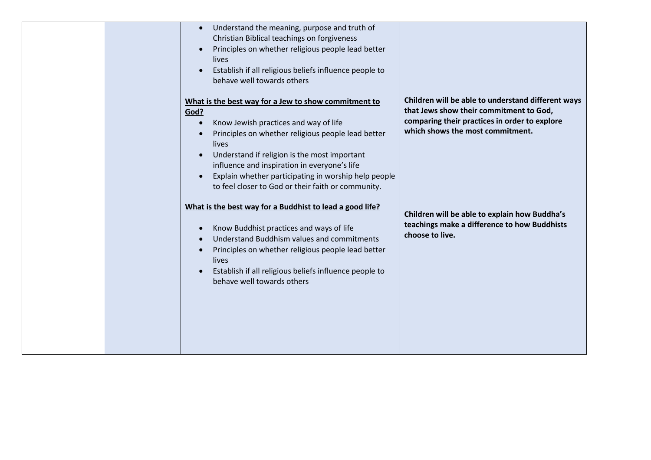| Understand the meaning, purpose and truth of<br>$\bullet$<br>Christian Biblical teachings on forgiveness<br>Principles on whether religious people lead better<br>lives<br>Establish if all religious beliefs influence people to<br>behave well towards others<br>What is the best way for a Jew to show commitment to<br>God?<br>Know Jewish practices and way of life<br>$\bullet$<br>Principles on whether religious people lead better<br>lives<br>Understand if religion is the most important<br>$\bullet$<br>influence and inspiration in everyone's life<br>Explain whether participating in worship help people<br>$\bullet$ | Children will be able to understand different ways<br>that Jews show their commitment to God,<br>comparing their practices in order to explore<br>which shows the most commitment. |
|----------------------------------------------------------------------------------------------------------------------------------------------------------------------------------------------------------------------------------------------------------------------------------------------------------------------------------------------------------------------------------------------------------------------------------------------------------------------------------------------------------------------------------------------------------------------------------------------------------------------------------------|------------------------------------------------------------------------------------------------------------------------------------------------------------------------------------|
| to feel closer to God or their faith or community.<br>What is the best way for a Buddhist to lead a good life?<br>Know Buddhist practices and ways of life<br>$\bullet$<br>Understand Buddhism values and commitments<br>$\bullet$<br>Principles on whether religious people lead better<br>lives<br>Establish if all religious beliefs influence people to<br>$\bullet$<br>behave well towards others                                                                                                                                                                                                                                 | Children will be able to explain how Buddha's<br>teachings make a difference to how Buddhists<br>choose to live.                                                                   |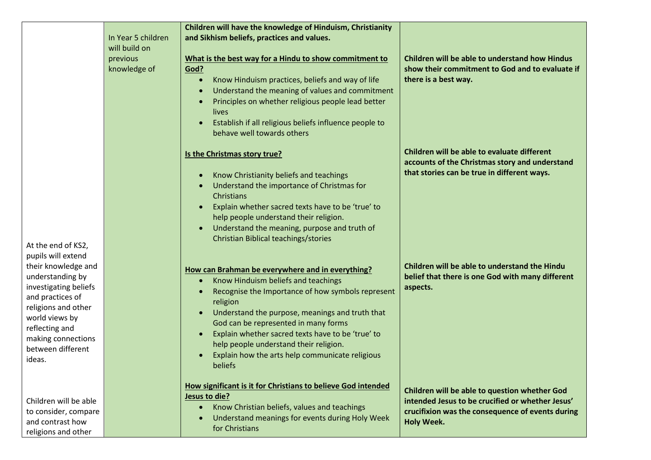|                                                                                                                                                                                                                            | In Year 5 children<br>will build on<br>previous<br>knowledge of | Children will have the knowledge of Hinduism, Christianity<br>and Sikhism beliefs, practices and values.<br>What is the best way for a Hindu to show commitment to<br>God?<br>Know Hinduism practices, beliefs and way of life<br>$\bullet$<br>Understand the meaning of values and commitment<br>$\bullet$<br>Principles on whether religious people lead better<br>lives<br>Establish if all religious beliefs influence people to<br>$\bullet$<br>behave well towards others | Children will be able to understand how Hindus<br>show their commitment to God and to evaluate if<br>there is a best way.                                                  |
|----------------------------------------------------------------------------------------------------------------------------------------------------------------------------------------------------------------------------|-----------------------------------------------------------------|---------------------------------------------------------------------------------------------------------------------------------------------------------------------------------------------------------------------------------------------------------------------------------------------------------------------------------------------------------------------------------------------------------------------------------------------------------------------------------|----------------------------------------------------------------------------------------------------------------------------------------------------------------------------|
| At the end of KS2,                                                                                                                                                                                                         |                                                                 | Is the Christmas story true?<br>Know Christianity beliefs and teachings<br>$\bullet$<br>Understand the importance of Christmas for<br>Christians<br>Explain whether sacred texts have to be 'true' to<br>$\bullet$<br>help people understand their religion.<br>Understand the meaning, purpose and truth of<br>$\bullet$<br>Christian Biblical teachings/stories                                                                                                               | Children will be able to evaluate different<br>accounts of the Christmas story and understand<br>that stories can be true in different ways.                               |
| pupils will extend<br>their knowledge and<br>understanding by<br>investigating beliefs<br>and practices of<br>religions and other<br>world views by<br>reflecting and<br>making connections<br>between different<br>ideas. |                                                                 | How can Brahman be everywhere and in everything?<br>Know Hinduism beliefs and teachings<br>$\bullet$<br>Recognise the Importance of how symbols represent<br>$\bullet$<br>religion<br>Understand the purpose, meanings and truth that<br>$\bullet$<br>God can be represented in many forms<br>Explain whether sacred texts have to be 'true' to<br>help people understand their religion.<br>Explain how the arts help communicate religious<br><b>beliefs</b>                  | Children will be able to understand the Hindu<br>belief that there is one God with many different<br>aspects.                                                              |
| Children will be able<br>to consider, compare<br>and contrast how<br>religions and other                                                                                                                                   |                                                                 | How significant is it for Christians to believe God intended<br>Jesus to die?<br>Know Christian beliefs, values and teachings<br>$\bullet$<br>Understand meanings for events during Holy Week<br>$\bullet$<br>for Christians                                                                                                                                                                                                                                                    | Children will be able to question whether God<br>intended Jesus to be crucified or whether Jesus'<br>crucifixion was the consequence of events during<br><b>Holy Week.</b> |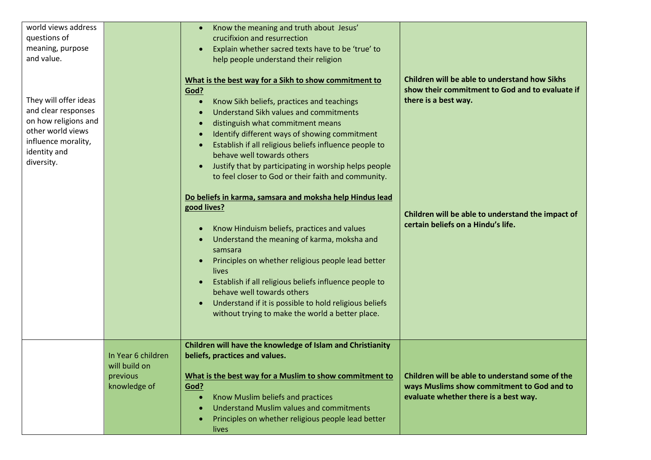| world views address<br>questions of<br>meaning, purpose<br>and value.                                                                          |                                                                 | Know the meaning and truth about Jesus'<br>crucifixion and resurrection<br>Explain whether sacred texts have to be 'true' to<br>help people understand their religion                                                                                                                                                                                                                                                                                                                                                                                                                                                                                                                                                                                                                                                                                                                                        |                                                                                                                                                                                                                     |
|------------------------------------------------------------------------------------------------------------------------------------------------|-----------------------------------------------------------------|--------------------------------------------------------------------------------------------------------------------------------------------------------------------------------------------------------------------------------------------------------------------------------------------------------------------------------------------------------------------------------------------------------------------------------------------------------------------------------------------------------------------------------------------------------------------------------------------------------------------------------------------------------------------------------------------------------------------------------------------------------------------------------------------------------------------------------------------------------------------------------------------------------------|---------------------------------------------------------------------------------------------------------------------------------------------------------------------------------------------------------------------|
| They will offer ideas<br>and clear responses<br>on how religions and<br>other world views<br>influence morality,<br>identity and<br>diversity. |                                                                 | What is the best way for a Sikh to show commitment to<br>God?<br>Know Sikh beliefs, practices and teachings<br>Understand Sikh values and commitments<br>distinguish what commitment means<br>Identify different ways of showing commitment<br>Establish if all religious beliefs influence people to<br>behave well towards others<br>Justify that by participating in worship helps people<br>to feel closer to God or their faith and community.<br>Do beliefs in karma, samsara and moksha help Hindus lead<br>good lives?<br>Know Hinduism beliefs, practices and values<br>Understand the meaning of karma, moksha and<br>samsara<br>Principles on whether religious people lead better<br>lives<br>Establish if all religious beliefs influence people to<br>behave well towards others<br>Understand if it is possible to hold religious beliefs<br>without trying to make the world a better place. | Children will be able to understand how Sikhs<br>show their commitment to God and to evaluate if<br>there is a best way.<br>Children will be able to understand the impact of<br>certain beliefs on a Hindu's life. |
|                                                                                                                                                | In Year 6 children<br>will build on<br>previous<br>knowledge of | Children will have the knowledge of Islam and Christianity<br>beliefs, practices and values.<br>What is the best way for a Muslim to show commitment to<br>God?<br>Know Muslim beliefs and practices<br><b>Understand Muslim values and commitments</b><br>Principles on whether religious people lead better<br>lives                                                                                                                                                                                                                                                                                                                                                                                                                                                                                                                                                                                       | Children will be able to understand some of the<br>ways Muslims show commitment to God and to<br>evaluate whether there is a best way.                                                                              |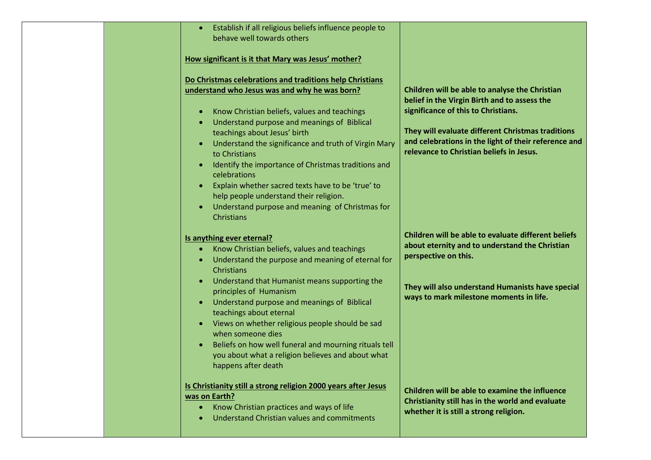|  | Establish if all religious beliefs influence people to<br>behave well towards others                                                                                                                                                                                                                                                                                                                                                                                                                                           |                                                                                                                                                                                                                                                                                                |
|--|--------------------------------------------------------------------------------------------------------------------------------------------------------------------------------------------------------------------------------------------------------------------------------------------------------------------------------------------------------------------------------------------------------------------------------------------------------------------------------------------------------------------------------|------------------------------------------------------------------------------------------------------------------------------------------------------------------------------------------------------------------------------------------------------------------------------------------------|
|  | How significant is it that Mary was Jesus' mother?                                                                                                                                                                                                                                                                                                                                                                                                                                                                             |                                                                                                                                                                                                                                                                                                |
|  | Do Christmas celebrations and traditions help Christians<br>understand who Jesus was and why he was born?<br>Know Christian beliefs, values and teachings<br>$\bullet$<br>Understand purpose and meanings of Biblical<br>$\bullet$<br>teachings about Jesus' birth<br>Understand the significance and truth of Virgin Mary<br>to Christians<br>Identify the importance of Christmas traditions and<br>$\bullet$<br>celebrations<br>Explain whether sacred texts have to be 'true' to<br>help people understand their religion. | Children will be able to analyse the Christian<br>belief in the Virgin Birth and to assess the<br>significance of this to Christians.<br>They will evaluate different Christmas traditions<br>and celebrations in the light of their reference and<br>relevance to Christian beliefs in Jesus. |
|  | Understand purpose and meaning of Christmas for<br><b>Christians</b><br>Is anything ever eternal?<br>Know Christian beliefs, values and teachings<br>$\bullet$<br>Understand the purpose and meaning of eternal for<br>Christians                                                                                                                                                                                                                                                                                              | Children will be able to evaluate different beliefs<br>about eternity and to understand the Christian<br>perspective on this.                                                                                                                                                                  |
|  | Understand that Humanist means supporting the<br>$\bullet$<br>principles of Humanism<br>Understand purpose and meanings of Biblical<br>teachings about eternal<br>Views on whether religious people should be sad<br>$\bullet$<br>when someone dies<br>Beliefs on how well funeral and mourning rituals tell<br>you about what a religion believes and about what<br>happens after death                                                                                                                                       | They will also understand Humanists have special<br>ways to mark milestone moments in life.                                                                                                                                                                                                    |
|  | Is Christianity still a strong religion 2000 years after Jesus<br>was on Earth?<br>Know Christian practices and ways of life<br>$\bullet$<br>Understand Christian values and commitments                                                                                                                                                                                                                                                                                                                                       | Children will be able to examine the influence<br>Christianity still has in the world and evaluate<br>whether it is still a strong religion.                                                                                                                                                   |